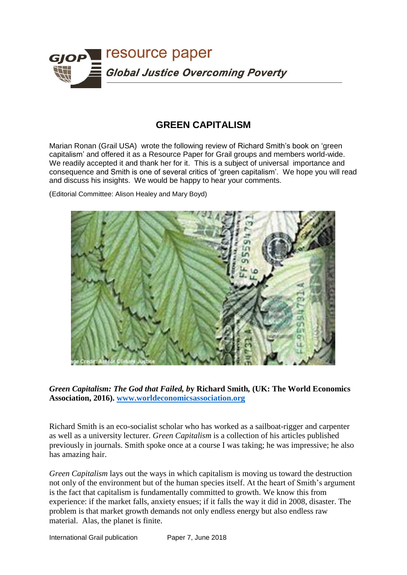

## **GREEN CAPITALISM**

Marian Ronan (Grail USA) wrote the following review of Richard Smith's book on 'green capitalism' and offered it as a Resource Paper for Grail groups and members world-wide. We readily accepted it and thank her for it. This is a subject of universal importance and consequence and Smith is one of several critics of 'green capitalism'. We hope you will read and discuss his insights. We would be happy to hear your comments.

(Editorial Committee: Alison Healey and Mary Boyd)



*Green Capitalism: The God that Failed, b***y Richard Smith***,* **(UK: The World Economics Association, 2016). [www.worldeconomicsassociation.org](http://www.worldeconomicsassociation.org/)**

Richard Smith is an eco-socialist scholar who has worked as a sailboat-rigger and carpenter as well as a university lecturer. *Green Capitalism* is a collection of his articles published previously in journals. Smith spoke once at a course I was taking; he was impressive; he also has amazing hair.

*Green Capitalism* lays out the ways in which capitalism is moving us toward the destruction not only of the environment but of the human species itself. At the heart of Smith's argument is the fact that capitalism is fundamentally committed to growth. We know this from experience: if the market falls, anxiety ensues; if it falls the way it did in 2008, disaster. The problem is that market growth demands not only endless energy but also endless raw material. Alas, the planet is finite.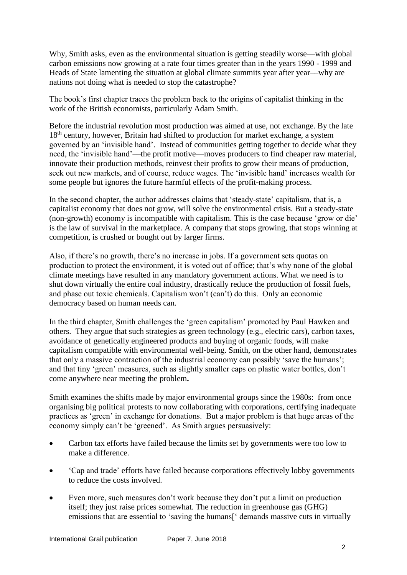Why, Smith asks, even as the environmental situation is getting steadily worse—with global carbon emissions now growing at a rate four times greater than in the years 1990 - 1999 and Heads of State lamenting the situation at global climate summits year after year––why are nations not doing what is needed to stop the catastrophe?

The book's first chapter traces the problem back to the origins of capitalist thinking in the work of the British economists, particularly Adam Smith.

Before the industrial revolution most production was aimed at use, not exchange. By the late 18<sup>th</sup> century, however, Britain had shifted to production for market exchange, a system governed by an 'invisible hand'. Instead of communities getting together to decide what they need, the 'invisible hand'––the profit motive––moves producers to find cheaper raw material, innovate their production methods, reinvest their profits to grow their means of production, seek out new markets, and of course, reduce wages. The 'invisible hand' increases wealth for some people but ignores the future harmful effects of the profit-making process.

In the second chapter, the author addresses claims that 'steady-state' capitalism, that is, a capitalist economy that does not grow, will solve the environmental crisis. But a steady-state (non-growth) economy is incompatible with capitalism. This is the case because 'grow or die' is the law of survival in the marketplace. A company that stops growing, that stops winning at competition, is crushed or bought out by larger firms.

Also, if there's no growth, there's no increase in jobs. If a government sets quotas on production to protect the environment, it is voted out of office; that's why none of the global climate meetings have resulted in any mandatory government actions. What we need is to shut down virtually the entire coal industry, drastically reduce the production of fossil fuels, and phase out toxic chemicals. Capitalism won't (can't) do this. Only an economic democracy based on human needs can.

In the third chapter, Smith challenges the 'green capitalism' promoted by Paul Hawken and others. They argue that such strategies as green technology (e.g., electric cars), carbon taxes, avoidance of genetically engineered products and buying of organic foods, will make capitalism compatible with environmental well-being. Smith, on the other hand, demonstrates that only a massive contraction of the industrial economy can possibly 'save the humans'; and that tiny 'green' measures, such as slightly smaller caps on plastic water bottles, don't come anywhere near meeting the problem**.**

Smith examines the shifts made by major environmental groups since the 1980s: from once organising big political protests to now collaborating with corporations, certifying inadequate practices as 'green' in exchange for donations. But a major problem is that huge areas of the economy simply can't be 'greened'. As Smith argues persuasively:

- Carbon tax efforts have failed because the limits set by governments were too low to make a difference.
- 'Cap and trade' efforts have failed because corporations effectively lobby governments to reduce the costs involved.
- Even more, such measures don't work because they don't put a limit on production itself; they just raise prices somewhat. The reduction in greenhouse gas (GHG) emissions that are essential to 'saving the humans<sup>['</sup> demands massive cuts in virtually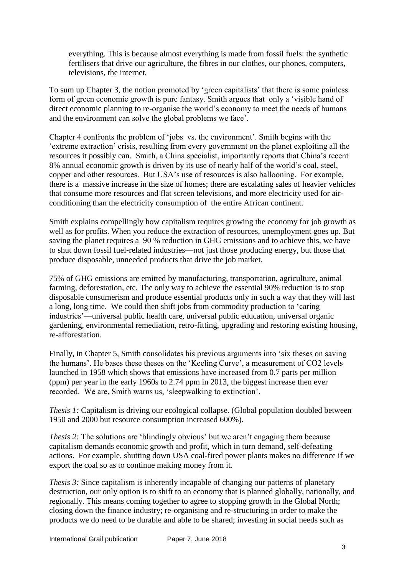everything. This is because almost everything is made from fossil fuels: the synthetic fertilisers that drive our agriculture, the fibres in our clothes, our phones, computers, televisions, the internet.

To sum up Chapter 3, the notion promoted by 'green capitalists' that there is some painless form of green economic growth is pure fantasy. Smith argues that only a 'visible hand of direct economic planning to re-organise the world's economy to meet the needs of humans and the environment can solve the global problems we face'.

Chapter 4 confronts the problem of 'jobs vs. the environment'. Smith begins with the 'extreme extraction' crisis, resulting from every government on the planet exploiting all the resources it possibly can. Smith, a China specialist, importantly reports that China's recent 8% annual economic growth is driven by its use of nearly half of the world's coal, steel, copper and other resources. But USA's use of resources is also ballooning. For example, there is a massive increase in the size of homes; there are escalating sales of heavier vehicles that consume more resources and flat screen televisions, and more electricity used for airconditioning than the electricity consumption of the entire African continent.

Smith explains compellingly how capitalism requires growing the economy for job growth as well as for profits. When you reduce the extraction of resources, unemployment goes up. But saving the planet requires a 90 % reduction in GHG emissions and to achieve this, we have to shut down fossil fuel-related industries—not just those producing energy, but those that produce disposable, unneeded products that drive the job market.

75% of GHG emissions are emitted by manufacturing, transportation, agriculture, animal farming, deforestation, etc. The only way to achieve the essential 90% reduction is to stop disposable consumerism and produce essential products only in such a way that they will last a long, long time. We could then shift jobs from commodity production to 'caring industries'––universal public health care, universal public education, universal organic gardening, environmental remediation, retro-fitting, upgrading and restoring existing housing, re-afforestation.

Finally, in Chapter 5, Smith consolidates his previous arguments into 'six theses on saving the humans'. He bases these theses on the 'Keeling Curve', a measurement of CO2 levels launched in 1958 which shows that emissions have increased from 0.7 parts per million (ppm) per year in the early 1960s to 2.74 ppm in 2013, the biggest increase then ever recorded. We are, Smith warns us, 'sleepwalking to extinction'.

*Thesis 1:* Capitalism is driving our ecological collapse. (Global population doubled between 1950 and 2000 but resource consumption increased 600%).

*Thesis 2:* The solutions are 'blindingly obvious' but we aren't engaging them because capitalism demands economic growth and profit, which in turn demand, self-defeating actions. For example, shutting down USA coal-fired power plants makes no difference if we export the coal so as to continue making money from it.

*Thesis 3:* Since capitalism is inherently incapable of changing our patterns of planetary destruction, our only option is to shift to an economy that is planned globally, nationally, and regionally. This means coming together to agree to stopping growth in the Global North; closing down the finance industry; re-organising and re-structuring in order to make the products we do need to be durable and able to be shared; investing in social needs such as